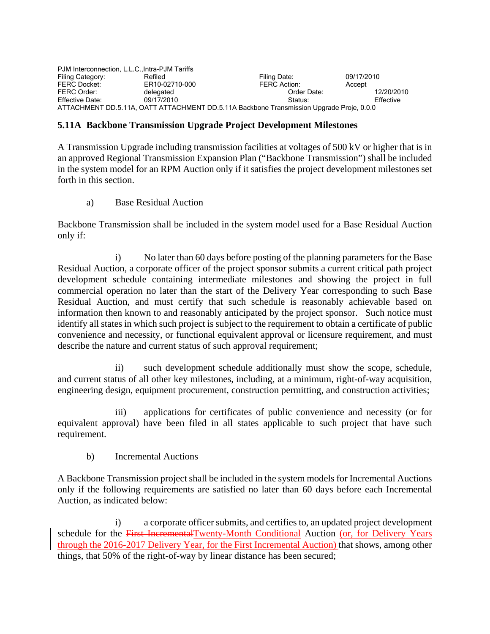| PJM Interconnection, L.L.C., Intra-PJM Tariffs                                           |                |                     |            |
|------------------------------------------------------------------------------------------|----------------|---------------------|------------|
| Filing Category:                                                                         | Refiled        | Filing Date:        | 09/17/2010 |
| <b>FERC Docket:</b>                                                                      | ER10-02710-000 | <b>FERC Action:</b> | Accept     |
| FERC Order:                                                                              | delegated      | Order Date:         | 12/20/2010 |
| Effective Date:                                                                          | 09/17/2010     | Status:             | Effective  |
| ATTACHMENT DD.5.11A, OATT ATTACHMENT DD.5.11A Backbone Transmission Upgrade Proje, 0.0.0 |                |                     |            |

## **5.11A Backbone Transmission Upgrade Project Development Milestones**

A Transmission Upgrade including transmission facilities at voltages of 500 kV or higher that is in an approved Regional Transmission Expansion Plan ("Backbone Transmission") shall be included in the system model for an RPM Auction only if it satisfies the project development milestones set forth in this section.

a) Base Residual Auction

Backbone Transmission shall be included in the system model used for a Base Residual Auction only if:

 i) No later than 60 days before posting of the planning parameters for the Base Residual Auction, a corporate officer of the project sponsor submits a current critical path project development schedule containing intermediate milestones and showing the project in full commercial operation no later than the start of the Delivery Year corresponding to such Base Residual Auction, and must certify that such schedule is reasonably achievable based on information then known to and reasonably anticipated by the project sponsor. Such notice must identify all states in which such project is subject to the requirement to obtain a certificate of public convenience and necessity, or functional equivalent approval or licensure requirement, and must describe the nature and current status of such approval requirement;

 ii) such development schedule additionally must show the scope, schedule, and current status of all other key milestones, including, at a minimum, right-of-way acquisition, engineering design, equipment procurement, construction permitting, and construction activities;

 iii) applications for certificates of public convenience and necessity (or for equivalent approval) have been filed in all states applicable to such project that have such requirement.

b) Incremental Auctions

A Backbone Transmission project shall be included in the system models for Incremental Auctions only if the following requirements are satisfied no later than 60 days before each Incremental Auction, as indicated below:

 i) a corporate officer submits, and certifies to, an updated project development schedule for the First IncrementalTwenty-Month Conditional Auction (or, for Delivery Years through the 2016-2017 Delivery Year, for the First Incremental Auction) that shows, among other things, that 50% of the right-of-way by linear distance has been secured;